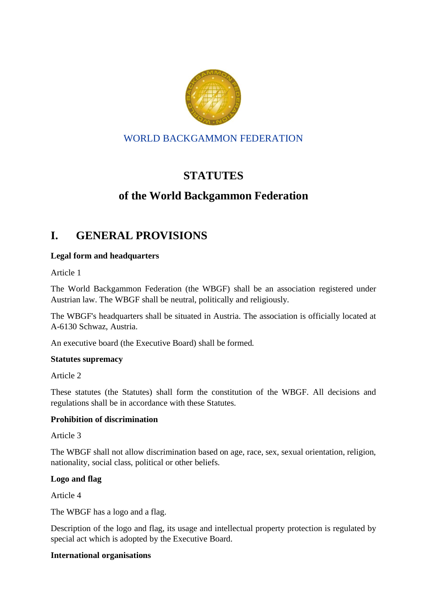

# WORLD BACKGAMMON FEDERATION

# **STATUTES**

# **of the World Backgammon Federation**

# **I. GENERAL PROVISIONS**

# **Legal form and headquarters**

Article 1

The World Backgammon Federation (the WBGF) shall be an association registered under Austrian law. The WBGF shall be neutral, politically and religiously.

The WBGF's headquarters shall be situated in Austria. The association is officially located at A-6130 Schwaz, Austria.

An executive board (the Executive Board) shall be formed.

# **Statutes supremacy**

Article 2

These statutes (the Statutes) shall form the constitution of the WBGF. All decisions and regulations shall be in accordance with these Statutes.

# **Prohibition of discrimination**

Article 3

The WBGF shall not allow discrimination based on age, race, sex, sexual orientation, religion, nationality, social class, political or other beliefs.

# **Logo and flag**

Article 4

The WBGF has a logo and a flag.

Description of the logo and flag, its usage and intellectual property protection is regulated by special act which is adopted by the Executive Board.

# **International organisations**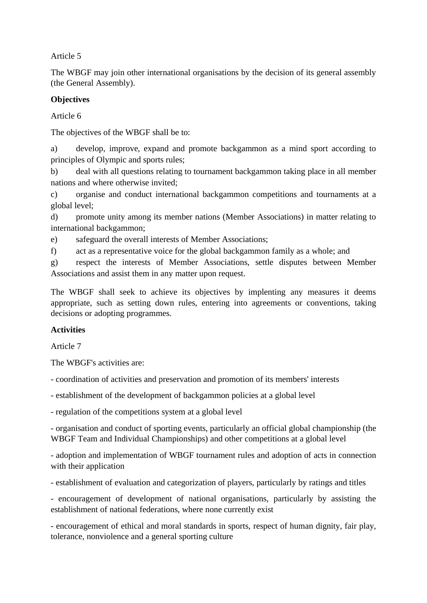Article 5

The WBGF may join other international organisations by the decision of its general assembly (the General Assembly).

# **Objectives**

Article 6

The objectives of the WBGF shall be to:

a) develop, improve, expand and promote backgammon as a mind sport according to principles of Olympic and sports rules;

b) deal with all questions relating to tournament backgammon taking place in all member nations and where otherwise invited;

c) organise and conduct international backgammon competitions and tournaments at a global level;

d) promote unity among its member nations (Member Associations) in matter relating to international backgammon;

e) safeguard the overall interests of Member Associations;

f) act as a representative voice for the global backgammon family as a whole; and

g) respect the interests of Member Associations, settle disputes between Member Associations and assist them in any matter upon request.

The WBGF shall seek to achieve its objectives by implenting any measures it deems appropriate, such as setting down rules, entering into agreements or conventions, taking decisions or adopting programmes.

# **Activities**

Article 7

The WBGF's activities are:

- coordination of activities and preservation and promotion of its members' interests

- establishment of the development of backgammon policies at a global level

- regulation of the competitions system at a global level

- organisation and conduct of sporting events, particularly an official global championship (the WBGF Team and Individual Championships) and other competitions at a global level

- adoption and implementation of WBGF tournament rules and adoption of acts in connection with their application

- establishment of evaluation and categorization of players, particularly by ratings and titles

- encouragement of development of national organisations, particularly by assisting the establishment of national federations, where none currently exist

- encouragement of ethical and moral standards in sports, respect of human dignity, fair play, tolerance, nonviolence and a general sporting culture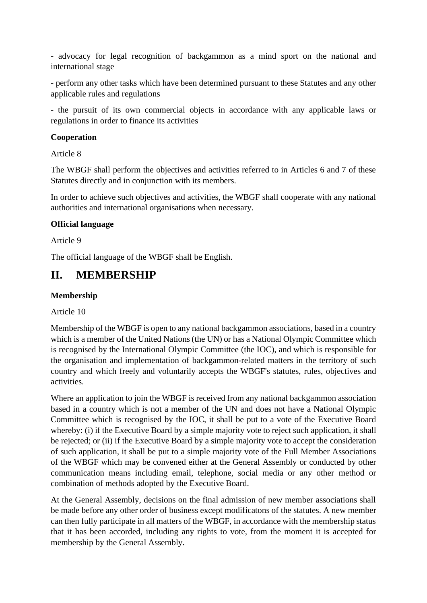- advocacy for legal recognition of backgammon as a mind sport on the national and international stage

- perform any other tasks which have been determined pursuant to these Statutes and any other applicable rules and regulations

- the pursuit of its own commercial objects in accordance with any applicable laws or regulations in order to finance its activities

# **Cooperation**

Article 8

The WBGF shall perform the objectives and activities referred to in Articles 6 and 7 of these Statutes directly and in conjunction with its members.

In order to achieve such objectives and activities, the WBGF shall cooperate with any national authorities and international organisations when necessary.

#### **Official language**

Article 9

The official language of the WBGF shall be English.

# **II. MEMBERSHIP**

#### **Membership**

Article 10

Membership of the WBGF is open to any national backgammon associations, based in a country which is a member of the United Nations (the UN) or has a National Olympic Committee which is recognised by the International Olympic Committee (the IOC), and which is responsible for the organisation and implementation of backgammon-related matters in the territory of such country and which freely and voluntarily accepts the WBGF's statutes, rules, objectives and activities.

Where an application to join the WBGF is received from any national backgammon association based in a country which is not a member of the UN and does not have a National Olympic Committee which is recognised by the IOC, it shall be put to a vote of the Executive Board whereby: (i) if the Executive Board by a simple majority vote to reject such application, it shall be rejected; or (ii) if the Executive Board by a simple majority vote to accept the consideration of such application, it shall be put to a simple majority vote of the Full Member Associations of the WBGF which may be convened either at the General Assembly or conducted by other communication means including email, telephone, social media or any other method or combination of methods adopted by the Executive Board.

At the General Assembly, decisions on the final admission of new member associations shall be made before any other order of business except modificatons of the statutes. A new member can then fully participate in all matters of the WBGF, in accordance with the membership status that it has been accorded, including any rights to vote, from the moment it is accepted for membership by the General Assembly.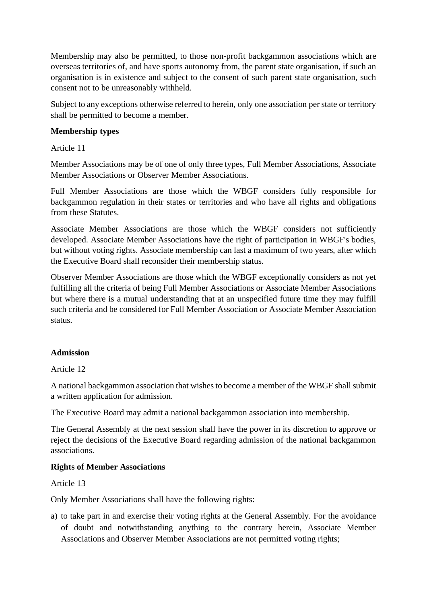Membership may also be permitted, to those non-profit backgammon associations which are overseas territories of, and have sports autonomy from, the parent state organisation, if such an organisation is in existence and subject to the consent of such parent state organisation, such consent not to be unreasonably withheld.

Subject to any exceptions otherwise referred to herein, only one association per state or territory shall be permitted to become a member.

# **Membership types**

Article 11

Member Associations may be of one of only three types, Full Member Associations, Associate Member Associations or Observer Member Associations.

Full Member Associations are those which the WBGF considers fully responsible for backgammon regulation in their states or territories and who have all rights and obligations from these Statutes.

Associate Member Associations are those which the WBGF considers not sufficiently developed. Associate Member Associations have the right of participation in WBGF's bodies, but without voting rights. Associate membership can last a maximum of two years, after which the Executive Board shall reconsider their membership status.

Observer Member Associations are those which the WBGF exceptionally considers as not yet fulfilling all the criteria of being Full Member Associations or Associate Member Associations but where there is a mutual understanding that at an unspecified future time they may fulfill such criteria and be considered for Full Member Association or Associate Member Association status.

# **Admission**

Article 12

A national backgammon association that wishes to become a member of the WBGF shall submit a written application for admission.

The Executive Board may admit a national backgammon association into membership.

The General Assembly at the next session shall have the power in its discretion to approve or reject the decisions of the Executive Board regarding admission of the national backgammon associations.

# **Rights of Member Associations**

Article 13

Only Member Associations shall have the following rights:

a) to take part in and exercise their voting rights at the General Assembly. For the avoidance of doubt and notwithstanding anything to the contrary herein, Associate Member Associations and Observer Member Associations are not permitted voting rights;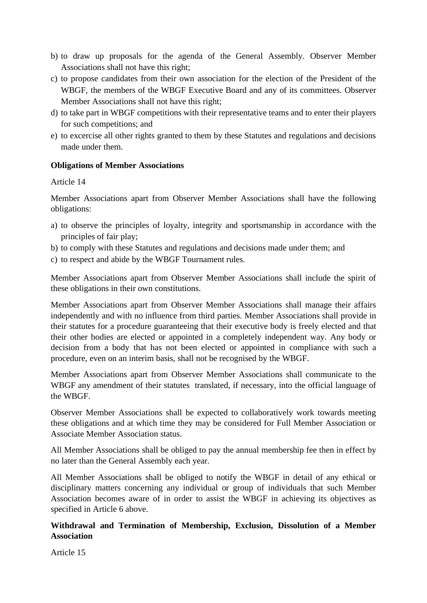- b) to draw up proposals for the agenda of the General Assembly. Observer Member Associations shall not have this right;
- c) to propose candidates from their own association for the election of the President of the WBGF, the members of the WBGF Executive Board and any of its committees. Observer Member Associations shall not have this right;
- d) to take part in WBGF competitions with their representative teams and to enter their players for such competitions; and
- e) to excercise all other rights granted to them by these Statutes and regulations and decisions made under them.

# **Obligations of Member Associations**

# Article 14

Member Associations apart from Observer Member Associations shall have the following obligations:

- a) to observe the principles of loyalty, integrity and sportsmanship in accordance with the principles of fair play;
- b) to comply with these Statutes and regulations and decisions made under them; and
- c) to respect and abide by the WBGF Tournament rules.

Member Associations apart from Observer Member Associations shall include the spirit of these obligations in their own constitutions.

Member Associations apart from Observer Member Associations shall manage their affairs independently and with no influence from third parties. Member Associations shall provide in their statutes for a procedure guaranteeing that their executive body is freely elected and that their other bodies are elected or appointed in a completely independent way. Any body or decision from a body that has not been elected or appointed in compliance with such a procedure, even on an interim basis, shall not be recognised by the WBGF.

Member Associations apart from Observer Member Associations shall communicate to the WBGF any amendment of their statutes translated, if necessary, into the official language of the WBGF.

Observer Member Associations shall be expected to collaboratively work towards meeting these obligations and at which time they may be considered for Full Member Association or Associate Member Association status.

All Member Associations shall be obliged to pay the annual membership fee then in effect by no later than the General Assembly each year.

All Member Associations shall be obliged to notify the WBGF in detail of any ethical or disciplinary matters concerning any individual or group of individuals that such Member Association becomes aware of in order to assist the WBGF in achieving its objectives as specified in Article 6 above.

# **Withdrawal and Termination of Membership, Exclusion, Dissolution of a Member Association**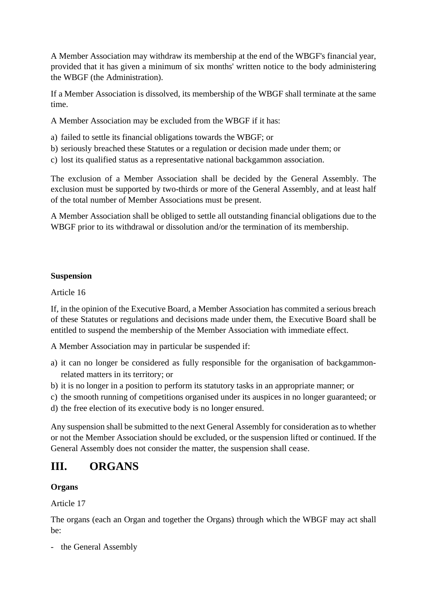A Member Association may withdraw its membership at the end of the WBGF's financial year, provided that it has given a minimum of six months' written notice to the body administering the WBGF (the Administration).

If a Member Association is dissolved, its membership of the WBGF shall terminate at the same time.

A Member Association may be excluded from the WBGF if it has:

- a) failed to settle its financial obligations towards the WBGF; or
- b) seriously breached these Statutes or a regulation or decision made under them; or
- c) lost its qualified status as a representative national backgammon association.

The exclusion of a Member Association shall be decided by the General Assembly. The exclusion must be supported by two-thirds or more of the General Assembly, and at least half of the total number of Member Associations must be present.

A Member Association shall be obliged to settle all outstanding financial obligations due to the WBGF prior to its withdrawal or dissolution and/or the termination of its membership.

# **Suspension**

Article 16

If, in the opinion of the Executive Board, a Member Association has commited a serious breach of these Statutes or regulations and decisions made under them, the Executive Board shall be entitled to suspend the membership of the Member Association with immediate effect.

A Member Association may in particular be suspended if:

- a) it can no longer be considered as fully responsible for the organisation of backgammonrelated matters in its territory; or
- b) it is no longer in a position to perform its statutory tasks in an appropriate manner; or
- c) the smooth running of competitions organised under its auspices in no longer guaranteed; or
- d) the free election of its executive body is no longer ensured.

Any suspension shall be submitted to the next General Assembly for consideration as to whether or not the Member Association should be excluded, or the suspension lifted or continued. If the General Assembly does not consider the matter, the suspension shall cease.

# **III. ORGANS**

# **Organs**

Article 17

The organs (each an Organ and together the Organs) through which the WBGF may act shall be:

- the General Assembly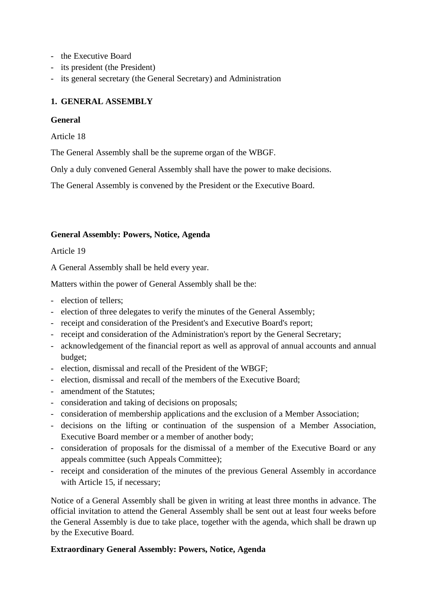- the Executive Board
- its president (the President)
- its general secretary (the General Secretary) and Administration

# **1. GENERAL ASSEMBLY**

#### **General**

Article 18

The General Assembly shall be the supreme organ of the WBGF.

Only a duly convened General Assembly shall have the power to make decisions.

The General Assembly is convened by the President or the Executive Board.

#### **General Assembly: Powers, Notice, Agenda**

Article 19

A General Assembly shall be held every year.

Matters within the power of General Assembly shall be the:

- election of tellers;
- election of three delegates to verify the minutes of the General Assembly;
- receipt and consideration of the President's and Executive Board's report;
- receipt and consideration of the Administration's report by the General Secretary;
- acknowledgement of the financial report as well as approval of annual accounts and annual budget;
- election, dismissal and recall of the President of the WBGF;
- election, dismissal and recall of the members of the Executive Board;
- amendment of the Statutes;
- consideration and taking of decisions on proposals;
- consideration of membership applications and the exclusion of a Member Association;
- decisions on the lifting or continuation of the suspension of a Member Association, Executive Board member or a member of another body;
- consideration of proposals for the dismissal of a member of the Executive Board or any appeals committee (such Appeals Committee);
- receipt and consideration of the minutes of the previous General Assembly in accordance with Article 15, if necessary:

Notice of a General Assembly shall be given in writing at least three months in advance. The official invitation to attend the General Assembly shall be sent out at least four weeks before the General Assembly is due to take place, together with the agenda, which shall be drawn up by the Executive Board.

# **Extraordinary General Assembly: Powers, Notice, Agenda**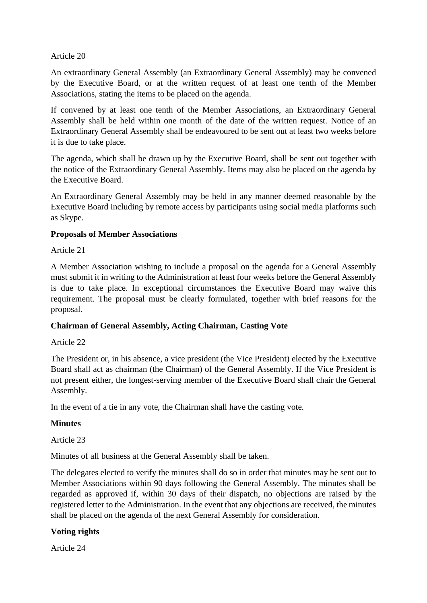#### Article 20

An extraordinary General Assembly (an Extraordinary General Assembly) may be convened by the Executive Board, or at the written request of at least one tenth of the Member Associations, stating the items to be placed on the agenda.

If convened by at least one tenth of the Member Associations, an Extraordinary General Assembly shall be held within one month of the date of the written request. Notice of an Extraordinary General Assembly shall be endeavoured to be sent out at least two weeks before it is due to take place.

The agenda, which shall be drawn up by the Executive Board, shall be sent out together with the notice of the Extraordinary General Assembly. Items may also be placed on the agenda by the Executive Board.

An Extraordinary General Assembly may be held in any manner deemed reasonable by the Executive Board including by remote access by participants using social media platforms such as Skype.

# **Proposals of Member Associations**

#### Article 21

A Member Association wishing to include a proposal on the agenda for a General Assembly must submit it in writing to the Administration at least four weeks before the General Assembly is due to take place. In exceptional circumstances the Executive Board may waive this requirement. The proposal must be clearly formulated, together with brief reasons for the proposal.

# **Chairman of General Assembly, Acting Chairman, Casting Vote**

#### Article 22

The President or, in his absence, a vice president (the Vice President) elected by the Executive Board shall act as chairman (the Chairman) of the General Assembly. If the Vice President is not present either, the longest-serving member of the Executive Board shall chair the General Assembly.

In the event of a tie in any vote, the Chairman shall have the casting vote.

# **Minutes**

# Article 23

Minutes of all business at the General Assembly shall be taken.

The delegates elected to verify the minutes shall do so in order that minutes may be sent out to Member Associations within 90 days following the General Assembly. The minutes shall be regarded as approved if, within 30 days of their dispatch, no objections are raised by the registered letter to the Administration. In the event that any objections are received, the minutes shall be placed on the agenda of the next General Assembly for consideration.

# **Voting rights**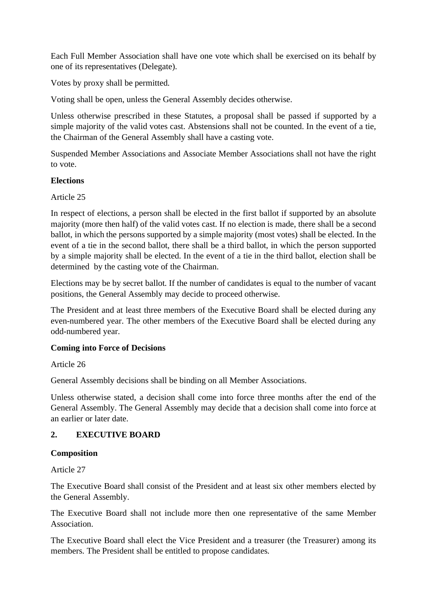Each Full Member Association shall have one vote which shall be exercised on its behalf by one of its representatives (Delegate).

Votes by proxy shall be permitted.

Voting shall be open, unless the General Assembly decides otherwise.

Unless otherwise prescribed in these Statutes, a proposal shall be passed if supported by a simple majority of the valid votes cast. Abstensions shall not be counted. In the event of a tie, the Chairman of the General Assembly shall have a casting vote.

Suspended Member Associations and Associate Member Associations shall not have the right to vote.

# **Elections**

Article 25

In respect of elections, a person shall be elected in the first ballot if supported by an absolute majority (more then half) of the valid votes cast. If no election is made, there shall be a second ballot, in which the persons supported by a simple majority (most votes) shall be elected. In the event of a tie in the second ballot, there shall be a third ballot, in which the person supported by a simple majority shall be elected. In the event of a tie in the third ballot, election shall be determined by the casting vote of the Chairman.

Elections may be by secret ballot. If the number of candidates is equal to the number of vacant positions, the General Assembly may decide to proceed otherwise.

The President and at least three members of the Executive Board shall be elected during any even-numbered year. The other members of the Executive Board shall be elected during any odd-numbered year.

# **Coming into Force of Decisions**

Article 26

General Assembly decisions shall be binding on all Member Associations.

Unless otherwise stated, a decision shall come into force three months after the end of the General Assembly. The General Assembly may decide that a decision shall come into force at an earlier or later date.

# **2. EXECUTIVE BOARD**

# **Composition**

Article 27

The Executive Board shall consist of the President and at least six other members elected by the General Assembly.

The Executive Board shall not include more then one representative of the same Member Association.

The Executive Board shall elect the Vice President and a treasurer (the Treasurer) among its members. The President shall be entitled to propose candidates.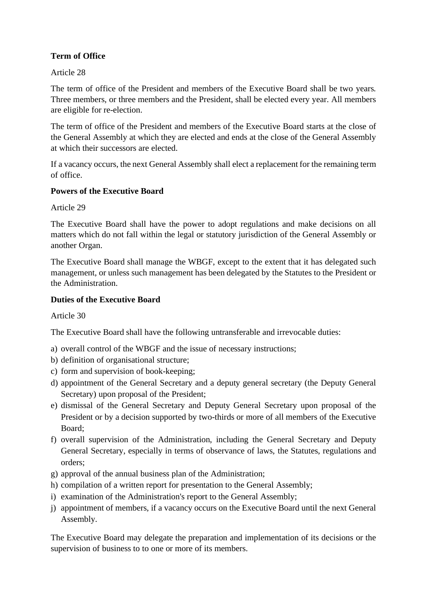# **Term of Office**

# Article 28

The term of office of the President and members of the Executive Board shall be two years. Three members, or three members and the President, shall be elected every year. All members are eligible for re-election.

The term of office of the President and members of the Executive Board starts at the close of the General Assembly at which they are elected and ends at the close of the General Assembly at which their successors are elected.

If a vacancy occurs, the next General Assembly shall elect a replacement for the remaining term of office.

# **Powers of the Executive Board**

Article 29

The Executive Board shall have the power to adopt regulations and make decisions on all matters which do not fall within the legal or statutory jurisdiction of the General Assembly or another Organ.

The Executive Board shall manage the WBGF, except to the extent that it has delegated such management, or unless such management has been delegated by the Statutes to the President or the Administration.

# **Duties of the Executive Board**

Article 30

The Executive Board shall have the following untransferable and irrevocable duties:

- a) overall control of the WBGF and the issue of necessary instructions;
- b) definition of organisational structure;
- c) form and supervision of book-keeping;
- d) appointment of the General Secretary and a deputy general secretary (the Deputy General Secretary) upon proposal of the President;
- e) dismissal of the General Secretary and Deputy General Secretary upon proposal of the President or by a decision supported by two-thirds or more of all members of the Executive Board;
- f) overall supervision of the Administration, including the General Secretary and Deputy General Secretary, especially in terms of observance of laws, the Statutes, regulations and orders;
- g) approval of the annual business plan of the Administration;
- h) compilation of a written report for presentation to the General Assembly;
- i) examination of the Administration's report to the General Assembly;
- j) appointment of members, if a vacancy occurs on the Executive Board until the next General Assembly.

The Executive Board may delegate the preparation and implementation of its decisions or the supervision of business to to one or more of its members.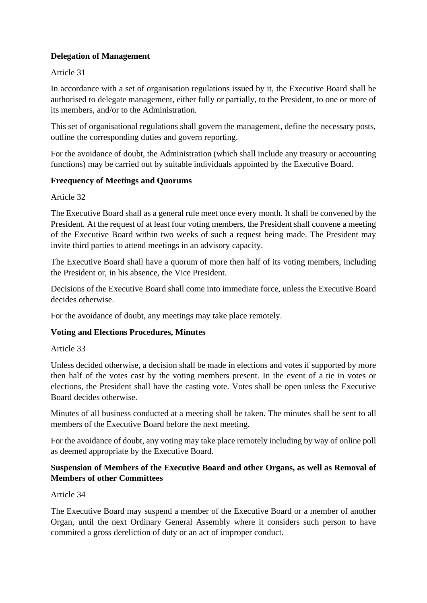# **Delegation of Management**

# Article 31

In accordance with a set of organisation regulations issued by it, the Executive Board shall be authorised to delegate management, either fully or partially, to the President, to one or more of its members, and/or to the Administration.

This set of organisational regulations shall govern the management, define the necessary posts, outline the corresponding duties and govern reporting.

For the avoidance of doubt, the Administration (which shall include any treasury or accounting functions) may be carried out by suitable individuals appointed by the Executive Board.

# **Freequency of Meetings and Quorums**

Article 32

The Executive Board shall as a general rule meet once every month. It shall be convened by the President. At the request of at least four voting members, the President shall convene a meeting of the Executive Board within two weeks of such a request being made. The President may invite third parties to attend meetings in an advisory capacity.

The Executive Board shall have a quorum of more then half of its voting members, including the President or, in his absence, the Vice President.

Decisions of the Executive Board shall come into immediate force, unless the Executive Board decides otherwise.

For the avoidance of doubt, any meetings may take place remotely.

# **Voting and Elections Procedures, Minutes**

Article 33

Unless decided otherwise, a decision shall be made in elections and votes if supported by more then half of the votes cast by the voting members present. In the event of a tie in votes or elections, the President shall have the casting vote. Votes shall be open unless the Executive Board decides otherwise.

Minutes of all business conducted at a meeting shall be taken. The minutes shall be sent to all members of the Executive Board before the next meeting.

For the avoidance of doubt, any voting may take place remotely including by way of online poll as deemed appropriate by the Executive Board.

# **Suspension of Members of the Executive Board and other Organs, as well as Removal of Members of other Committees**

Article 34

The Executive Board may suspend a member of the Executive Board or a member of another Organ, until the next Ordinary General Assembly where it considers such person to have commited a gross dereliction of duty or an act of improper conduct.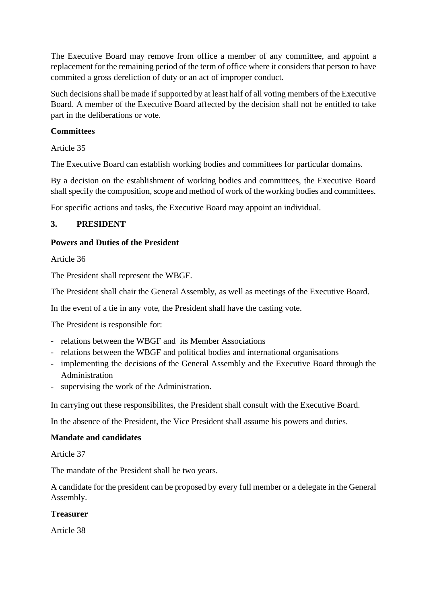The Executive Board may remove from office a member of any committee, and appoint a replacement for the remaining period of the term of office where it considers that person to have commited a gross dereliction of duty or an act of improper conduct.

Such decisions shall be made if supported by at least half of all voting members of the Executive Board. A member of the Executive Board affected by the decision shall not be entitled to take part in the deliberations or vote.

# **Committees**

Article 35

The Executive Board can establish working bodies and committees for particular domains.

By a decision on the establishment of working bodies and committees, the Executive Board shall specify the composition, scope and method of work of the working bodies and committees.

For specific actions and tasks, the Executive Board may appoint an individual.

# **3. PRESIDENT**

# **Powers and Duties of the President**

Article 36

The President shall represent the WBGF.

The President shall chair the General Assembly, as well as meetings of the Executive Board.

In the event of a tie in any vote, the President shall have the casting vote.

The President is responsible for:

- relations between the WBGF and its Member Associations
- relations between the WBGF and political bodies and international organisations
- implementing the decisions of the General Assembly and the Executive Board through the Administration
- supervising the work of the Administration.

In carrying out these responsibilites, the President shall consult with the Executive Board.

In the absence of the President, the Vice President shall assume his powers and duties.

# **Mandate and candidates**

Article 37

The mandate of the President shall be two years.

A candidate for the president can be proposed by every full member or a delegate in the General Assembly.

# **Treasurer**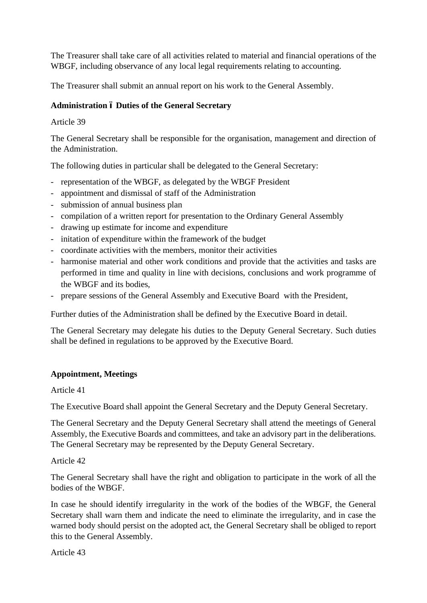The Treasurer shall take care of all activities related to material and financial operations of the WBGF, including observance of any local legal requirements relating to accounting.

The Treasurer shall submit an annual report on his work to the General Assembly.

# **Administration – Duties of the General Secretary**

# Article 39

The General Secretary shall be responsible for the organisation, management and direction of the Administration.

The following duties in particular shall be delegated to the General Secretary:

- representation of the WBGF, as delegated by the WBGF President
- appointment and dismissal of staff of the Administration
- submission of annual business plan
- compilation of a written report for presentation to the Ordinary General Assembly
- drawing up estimate for income and expenditure
- initation of expenditure within the framework of the budget
- coordinate activities with the members, monitor their activities
- harmonise material and other work conditions and provide that the activities and tasks are performed in time and quality in line with decisions, conclusions and work programme of the WBGF and its bodies,
- prepare sessions of the General Assembly and Executive Board with the President,

Further duties of the Administration shall be defined by the Executive Board in detail.

The General Secretary may delegate his duties to the Deputy General Secretary. Such duties shall be defined in regulations to be approved by the Executive Board.

# **Appointment, Meetings**

# Article 41

The Executive Board shall appoint the General Secretary and the Deputy General Secretary.

The General Secretary and the Deputy General Secretary shall attend the meetings of General Assembly, the Executive Boards and committees, and take an advisory part in the deliberations. The General Secretary may be represented by the Deputy General Secretary.

# Article 42

The General Secretary shall have the right and obligation to participate in the work of all the bodies of the WBGF.

In case he should identify irregularity in the work of the bodies of the WBGF, the General Secretary shall warn them and indicate the need to eliminate the irregularity, and in case the warned body should persist on the adopted act, the General Secretary shall be obliged to report this to the General Assembly.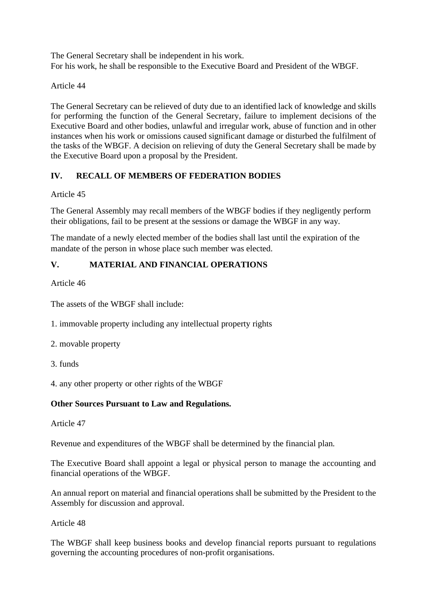The General Secretary shall be independent in his work. For his work, he shall be responsible to the Executive Board and President of the WBGF.

Article 44

The General Secretary can be relieved of duty due to an identified lack of knowledge and skills for performing the function of the General Secretary, failure to implement decisions of the Executive Board and other bodies, unlawful and irregular work, abuse of function and in other instances when his work or omissions caused significant damage or disturbed the fulfilment of the tasks of the WBGF. A decision on relieving of duty the General Secretary shall be made by the Executive Board upon a proposal by the President.

# **IV. RECALL OF MEMBERS OF FEDERATION BODIES**

Article 45

The General Assembly may recall members of the WBGF bodies if they negligently perform their obligations, fail to be present at the sessions or damage the WBGF in any way.

The mandate of a newly elected member of the bodies shall last until the expiration of the mandate of the person in whose place such member was elected.

# **V. MATERIAL AND FINANCIAL OPERATIONS**

Article 46

The assets of the WBGF shall include:

- 1. immovable property including any intellectual property rights
- 2. movable property
- 3. funds

4. any other property or other rights of the WBGF

# **Other Sources Pursuant to Law and Regulations.**

Article 47

Revenue and expenditures of the WBGF shall be determined by the financial plan.

The Executive Board shall appoint a legal or physical person to manage the accounting and financial operations of the WBGF.

An annual report on material and financial operations shall be submitted by the President to the Assembly for discussion and approval.

Article 48

The WBGF shall keep business books and develop financial reports pursuant to regulations governing the accounting procedures of non-profit organisations.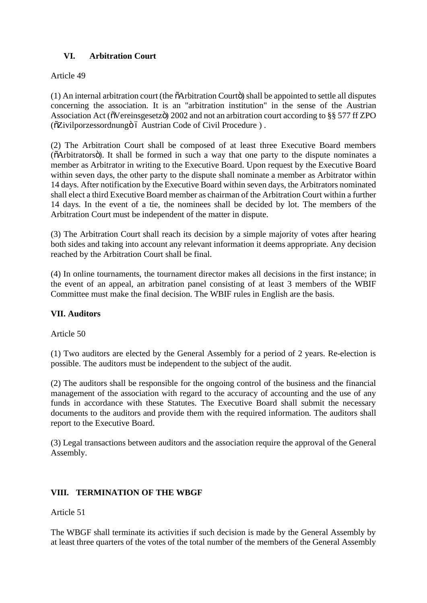# **VI. Arbitration Court**

# Article 49

 $(1)$  An internal arbitration court (the  $\tilde{o}$ Arbitration Court $\tilde{o}$ ) shall be appointed to settle all disputes concerning the association. It is an "arbitration institution" in the sense of the Austrian Association Act ( $\tilde{\text{o}}$ Vereinsgesetz $\tilde{\text{o}}$ ) 2002 and not an arbitration court according to §§ 577 ff ZPO ( $\delta$ Zivilporzessordnung $\ddot{\mathrm{o}}$  Austrian Code of Civil Procedure ).

(2) The Arbitration Court shall be composed of at least three Executive Board members ( $\delta$ Arbitrators $\ddot{\text{o}}$ ). It shall be formed in such a way that one party to the dispute nominates a member as Arbitrator in writing to the Executive Board. Upon request by the Executive Board within seven days, the other party to the dispute shall nominate a member as Arbitrator within 14 days. After notification by the Executive Board within seven days, the Arbitrators nominated shall elect a third Executive Board member as chairman of the Arbitration Court within a further 14 days. In the event of a tie, the nominees shall be decided by lot. The members of the Arbitration Court must be independent of the matter in dispute.

(3) The Arbitration Court shall reach its decision by a simple majority of votes after hearing both sides and taking into account any relevant information it deems appropriate. Any decision reached by the Arbitration Court shall be final.

(4) In online tournaments, the tournament director makes all decisions in the first instance; in the event of an appeal, an arbitration panel consisting of at least 3 members of the WBIF Committee must make the final decision. The WBIF rules in English are the basis.

# **VII. Auditors**

Article 50

(1) Two auditors are elected by the General Assembly for a period of 2 years. Re-election is possible. The auditors must be independent to the subject of the audit.

(2) The auditors shall be responsible for the ongoing control of the business and the financial management of the association with regard to the accuracy of accounting and the use of any funds in accordance with these Statutes. The Executive Board shall submit the necessary documents to the auditors and provide them with the required information. The auditors shall report to the Executive Board.

(3) Legal transactions between auditors and the association require the approval of the General Assembly.

# **VIII. TERMINATION OF THE WBGF**

Article 51

The WBGF shall terminate its activities if such decision is made by the General Assembly by at least three quarters of the votes of the total number of the members of the General Assembly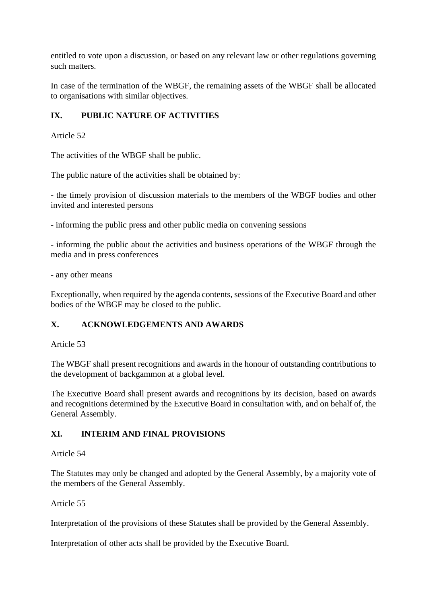entitled to vote upon a discussion, or based on any relevant law or other regulations governing such matters.

In case of the termination of the WBGF, the remaining assets of the WBGF shall be allocated to organisations with similar objectives.

# **IX. PUBLIC NATURE OF ACTIVITIES**

Article 52

The activities of the WBGF shall be public.

The public nature of the activities shall be obtained by:

- the timely provision of discussion materials to the members of the WBGF bodies and other invited and interested persons

- informing the public press and other public media on convening sessions

- informing the public about the activities and business operations of the WBGF through the media and in press conferences

- any other means

Exceptionally, when required by the agenda contents, sessions of the Executive Board and other bodies of the WBGF may be closed to the public.

# **X. ACKNOWLEDGEMENTS AND AWARDS**

Article 53

The WBGF shall present recognitions and awards in the honour of outstanding contributions to the development of backgammon at a global level.

The Executive Board shall present awards and recognitions by its decision, based on awards and recognitions determined by the Executive Board in consultation with, and on behalf of, the General Assembly.

# **XI. INTERIM AND FINAL PROVISIONS**

#### Article 54

The Statutes may only be changed and adopted by the General Assembly, by a majority vote of the members of the General Assembly.

#### Article 55

Interpretation of the provisions of these Statutes shall be provided by the General Assembly.

Interpretation of other acts shall be provided by the Executive Board.